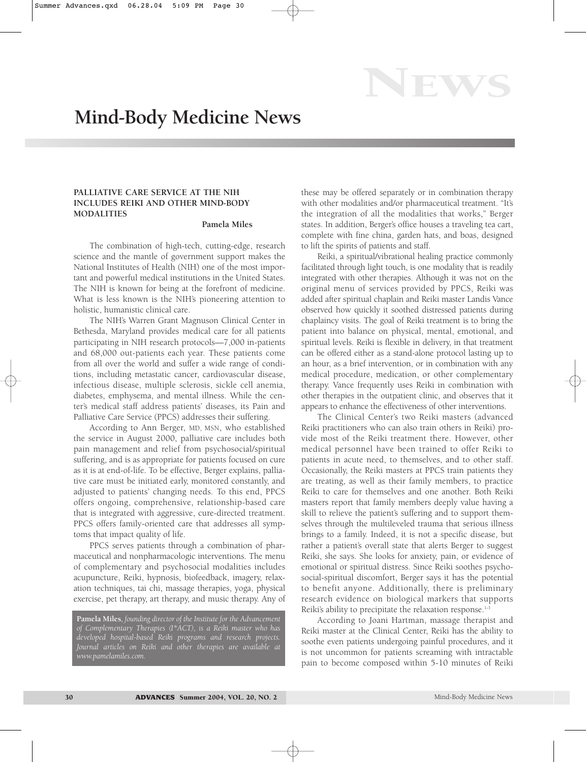EWS

## **PALLIATIVE CARE SERVICE AT THE NIH INCLUDES REIKI AND OTHER MIND-BODY MODALITIES**

## **Pamela Miles**

The combination of high-tech, cutting-edge, research science and the mantle of government support makes the National Institutes of Health (NIH) one of the most important and powerful medical institutions in the United States. The NIH is known for being at the forefront of medicine. What is less known is the NIH's pioneering attention to holistic, humanistic clinical care.

The NIH's Warren Grant Magnuson Clinical Center in Bethesda, Maryland provides medical care for all patients participating in NIH research protocols—7,000 in-patients and 68,000 out-patients each year. These patients come from all over the world and suffer a wide range of conditions, including metastatic cancer, cardiovascular disease, infectious disease, multiple sclerosis, sickle cell anemia, diabetes, emphysema, and mental illness. While the center's medical staff address patients' diseases, its Pain and Palliative Care Service (PPCS) addresses their suffering.

According to Ann Berger, MD, MSN, who established the service in August 2000, palliative care includes both pain management and relief from psychosocial/spiritual suffering, and is as appropriate for patients focused on cure as it is at end-of-life. To be effective, Berger explains, palliative care must be initiated early, monitored constantly, and adjusted to patients' changing needs. To this end, PPCS offers ongoing, comprehensive, relationship-based care that is integrated with aggressive, cure-directed treatment. PPCS offers family-oriented care that addresses all symptoms that impact quality of life.

PPCS serves patients through a combination of pharmaceutical and nonpharmacologic interventions. The menu of complementary and psychosocial modalities includes acupuncture, Reiki, hypnosis, biofeedback, imagery, relaxation techniques, tai chi, massage therapies, yoga, physical exercise, pet therapy, art therapy, and music therapy. Any of

**Pamela Miles***, founding director of the Institute for the Advancement of Complementary Therapies (I\*ACT), is a Reiki master who has developed hospital-based Reiki programs and research projects. Journal articles on Reiki and other therapies are available at www.pamelamiles.com.*

these may be offered separately or in combination therapy with other modalities and/or pharmaceutical treatment. "It's the integration of all the modalities that works," Berger states. In addition, Berger's office houses a traveling tea cart, complete with fine china, garden hats, and boas, designed to lift the spirits of patients and staff.

Reiki, a spiritual/vibrational healing practice commonly facilitated through light touch, is one modality that is readily integrated with other therapies. Although it was not on the original menu of services provided by PPCS, Reiki was added after spiritual chaplain and Reiki master Landis Vance observed how quickly it soothed distressed patients during chaplaincy visits. The goal of Reiki treatment is to bring the patient into balance on physical, mental, emotional, and spiritual levels. Reiki is flexible in delivery, in that treatment can be offered either as a stand-alone protocol lasting up to an hour, as a brief intervention, or in combination with any medical procedure, medication, or other complementary therapy. Vance frequently uses Reiki in combination with other therapies in the outpatient clinic, and observes that it appears to enhance the effectiveness of other interventions.

The Clinical Center's two Reiki masters (advanced Reiki practitioners who can also train others in Reiki) provide most of the Reiki treatment there. However, other medical personnel have been trained to offer Reiki to patients in acute need, to themselves, and to other staff. Occasionally, the Reiki masters at PPCS train patients they are treating, as well as their family members, to practice Reiki to care for themselves and one another. Both Reiki masters report that family members deeply value having a skill to relieve the patient's suffering and to support themselves through the multileveled trauma that serious illness brings to a family. Indeed, it is not a specific disease, but rather a patient's overall state that alerts Berger to suggest Reiki, she says. She looks for anxiety, pain, or evidence of emotional or spiritual distress. Since Reiki soothes psychosocial-spiritual discomfort, Berger says it has the potential to benefit anyone. Additionally, there is preliminary research evidence on biological markers that supports Reiki's ability to precipitate the relaxation response.<sup>1-3</sup>

According to Joani Hartman, massage therapist and Reiki master at the Clinical Center, Reiki has the ability to soothe even patients undergoing painful procedures, and it is not uncommon for patients screaming with intractable pain to become composed within 5-10 minutes of Reiki